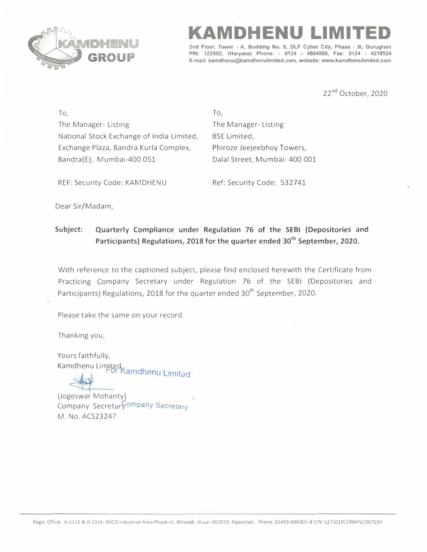

**KAMDHENU LIMITED** 

**2nd Floor, Tower - A, Building No. 9, DLF Cyber City, Phase - Ill, Gurugram PIN: 122002, (Haryana) Phone: - 0124 • 4604500, Fax: 0124 • 4218524 E-mail: kamdhenu@kamdhenulimited.com, website: www.kamdhenulimited.com** 

22<sup>nd</sup> October, 2020

To, The Manager- Listing National Stock Exchange of India Limited, Exchange Plaza, Bandra Kurla Complex, Bandra(E), Mumbai-400 051

To, The Manager- Listing BSE Limited, Phiroze Jeejeebhoy Towers, Dalal Street, Mumbai- 400 001

REF: Security Code: KAMDHENU Ref: Security Code: 532741

Dear Sir/Madam,

## **Subject: Quarterly Compliance under Regulation 76 of the SEBI (Depositories and Participants) Regulations, 2018 for the quarter ended 30th September, 2020.**

With reference to the captioned subject, please find enclosed herewith the Certificate from Practicing Company Secretary under Regulation 76 of the SEBI (Depositories and Participants) Regulations, 2018 for the quarter ended 30<sup>th</sup> September, 2020.

Please take the same on your record.

Thanking you,

Yours faithfully, Kamdhenu Limited<br>For Kamdhenu Limited

(Jogeswar Mohanty) Company Secretar<sup>Company</sup> Secretary M. No. ACS23247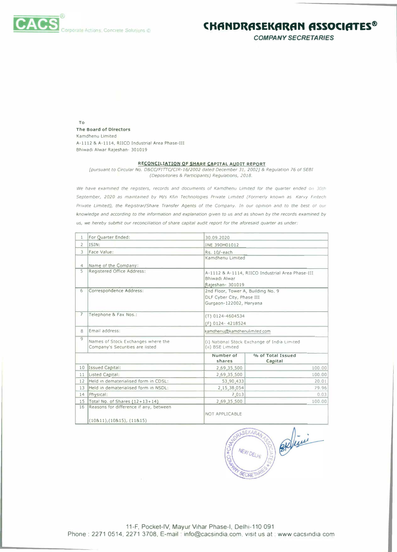

**COMPANY SECRETARIES** 

To The Board of Directors Kamdhenu Limited A-1112 & A-1114, RIICO Industrial Area Phase-III Bhiwadi Alwar Rajeshan- 301019

## RECONCILIATION OF SHARE CAPITAL AUDIT REPORT

[pursuant to Circular No. D&CC/FITTC/CIR-16/2002 dated December 31, 2002] & Regulation 76 of SEBI (Depositories & Participants) Regulations, 2018.

We have examined the registers, records and documents of Kamdhenu Limited for the quarter ended on 30th September, 2020 as maintained by M/s Kfin Technologies Private Limited (Formerly known as Karvy Fintech Private Limited), the Registrar/Share Transfer Agents of the Company. In our opinion and to the best of our knowledge and according to the information and explanation given to us and as shown by the records examined by us, we hereby submit our reconciliation of share capital audit report for the aforesaid quarter as under:

| $\mathbf{1}$             | For Quarter Ended:                                                          | 30.09.2020                                                       |                                                  |  |  |  |
|--------------------------|-----------------------------------------------------------------------------|------------------------------------------------------------------|--------------------------------------------------|--|--|--|
| $\overline{2}$           | ISIN:                                                                       | INE 390H01012                                                    |                                                  |  |  |  |
| $\overline{\mathcal{E}}$ | Face Value:                                                                 | Rs. 10/-each                                                     |                                                  |  |  |  |
|                          |                                                                             | Kamdhenu Limited                                                 |                                                  |  |  |  |
| $\overline{a}$           | Name of the Company:                                                        |                                                                  |                                                  |  |  |  |
| 5                        | Registered Office Address:                                                  | Bhiwadi Alwar                                                    | A-1112 & A-1114, RIICO Industrial Area Phase-III |  |  |  |
|                          |                                                                             | Rajeshan- 301019                                                 |                                                  |  |  |  |
| 6                        | Correspondence Address:                                                     | DLF Cyber City, Phase III<br>Gurgaon-122002, Haryana             | 2nd Floor, Tower A, Building No. 9               |  |  |  |
| $\overline{ }$           | Telephone & Fax Nos.:                                                       | $(T)$ 0124-4604534<br>(F) 0124-4218524                           |                                                  |  |  |  |
| 8                        | Email address:                                                              | kamdhenu@kamdhenulimited.com                                     |                                                  |  |  |  |
| Q                        | Names of Stock Exchanges where the<br>Company's Securities are listed       | (i) National Stock Exchange of India Limited<br>(ii) BSE Limited |                                                  |  |  |  |
|                          |                                                                             | Number of<br>shares                                              | % of Total Issued<br>Capital                     |  |  |  |
| 10                       | Issued Capital:                                                             | 2,69,35,500                                                      | 100.00                                           |  |  |  |
| 11                       | Listed Capital:                                                             | 2,69,35,500                                                      | 100.00                                           |  |  |  |
| 12                       | Held in dematerialised form in CDSL:                                        | 53,90,433                                                        | 20.01                                            |  |  |  |
| 13                       | Held in dematerialised form in NSDL:                                        | 2,15,38,054                                                      | 79.96                                            |  |  |  |
| 14                       | Physical:                                                                   | 7,013                                                            | 0.03                                             |  |  |  |
| 15                       | Total No. of Shares $(12+13+14)$                                            | 2,69,35,500                                                      | 100.00                                           |  |  |  |
| 16                       | Reasons for difference if any, between<br>$(10811)$ , $(10815)$ , $(11815)$ | NOT APPLICABLE                                                   |                                                  |  |  |  |



11-F, Pocket-IV, Mayur Vihar Phase-I, Delhi-110 091 Phone: 2271 0514, 2271 3708, E-mail: info@cacsindia.com, visit us at : www.cacsindia.com